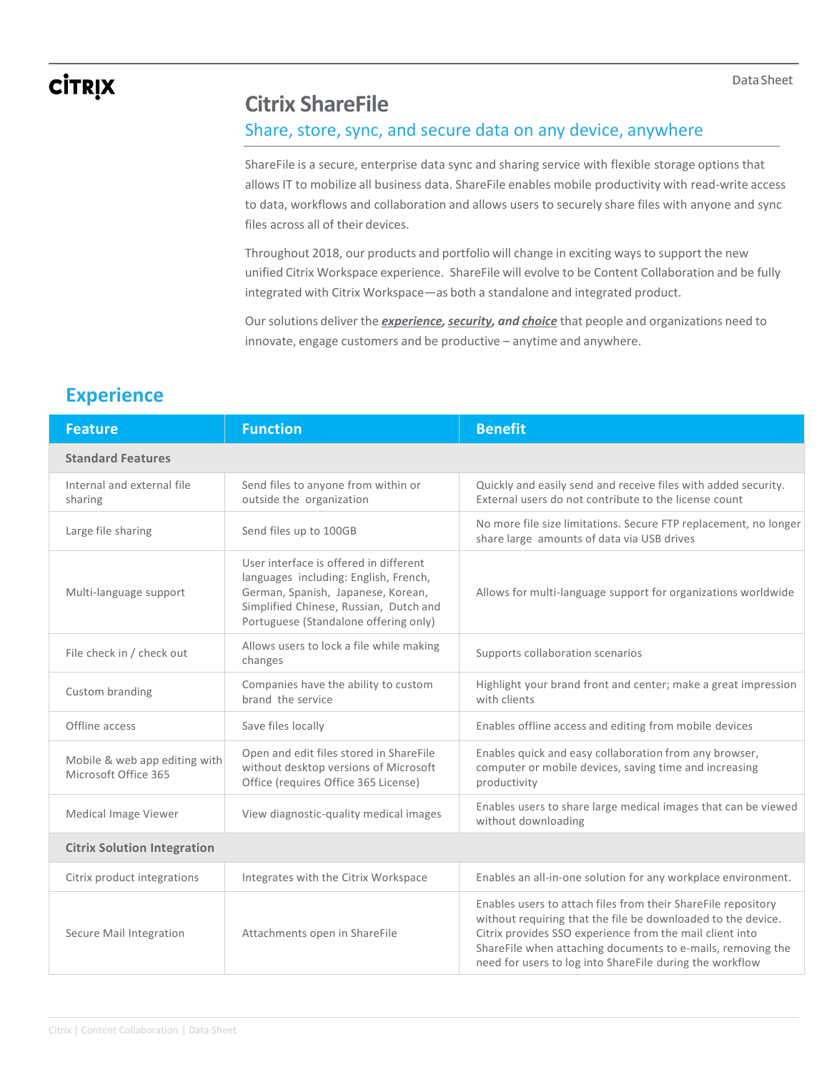## **CİTRIX**

### **Citrix ShareFile**

#### Share, store, sync, and secure data on any device, anywhere

ShareFile is a secure, enterprise data sync and sharing service with flexible storage options that allows IT to mobilize all business data. ShareFile enables mobile productivity with read-write access to data, workflows and collaboration and allows users to securely share files with anyone and sync files across all of their devices.

Throughout 2018, our products and portfolio will change in exciting ways to support the new unified Citrix Workspace experience. ShareFile will evolve to be Content Collaboration and be fully integrated with Citrix Workspace—as both a standalone and integrated product.

Our solutions deliver the *experience, security, and choice* that people and organizations need to innovate, engage customers and be productive – anytime and anywhere.

#### **Experience**

| <b>Feature</b>                                        | <b>Function</b>                                                                                                                                                                                          | <b>Benefit</b>                                                                                                                                                                                                                                                                                                       |  |  |
|-------------------------------------------------------|----------------------------------------------------------------------------------------------------------------------------------------------------------------------------------------------------------|----------------------------------------------------------------------------------------------------------------------------------------------------------------------------------------------------------------------------------------------------------------------------------------------------------------------|--|--|
| <b>Standard Features</b>                              |                                                                                                                                                                                                          |                                                                                                                                                                                                                                                                                                                      |  |  |
| Internal and external file<br>sharing                 | Send files to anyone from within or<br>outside the organization                                                                                                                                          | Quickly and easily send and receive files with added security.<br>External users do not contribute to the license count                                                                                                                                                                                              |  |  |
| Large file sharing                                    | Send files up to 100GB                                                                                                                                                                                   | No more file size limitations. Secure FTP replacement, no longer<br>share large amounts of data via USB drives                                                                                                                                                                                                       |  |  |
| Multi-language support                                | User interface is offered in different<br>languages including: English, French,<br>German, Spanish, Japanese, Korean,<br>Simplified Chinese, Russian, Dutch and<br>Portuguese (Standalone offering only) | Allows for multi-language support for organizations worldwide                                                                                                                                                                                                                                                        |  |  |
| File check in / check out                             | Allows users to lock a file while making<br>changes                                                                                                                                                      | Supports collaboration scenarios                                                                                                                                                                                                                                                                                     |  |  |
| Custom branding                                       | Companies have the ability to custom<br>brand the service                                                                                                                                                | Highlight your brand front and center; make a great impression<br>with clients                                                                                                                                                                                                                                       |  |  |
| Offline access                                        | Save files locally                                                                                                                                                                                       | Enables offline access and editing from mobile devices                                                                                                                                                                                                                                                               |  |  |
| Mobile & web app editing with<br>Microsoft Office 365 | Open and edit files stored in ShareFile<br>without desktop versions of Microsoft<br>Office (requires Office 365 License)                                                                                 | Enables quick and easy collaboration from any browser,<br>computer or mobile devices, saving time and increasing<br>productivity                                                                                                                                                                                     |  |  |
| Medical Image Viewer                                  | View diagnostic-quality medical images                                                                                                                                                                   | Enables users to share large medical images that can be viewed<br>without downloading                                                                                                                                                                                                                                |  |  |
| <b>Citrix Solution Integration</b>                    |                                                                                                                                                                                                          |                                                                                                                                                                                                                                                                                                                      |  |  |
| Citrix product integrations                           | Integrates with the Citrix Workspace                                                                                                                                                                     | Enables an all-in-one solution for any workplace environment.                                                                                                                                                                                                                                                        |  |  |
| Secure Mail Integration                               | Attachments open in ShareFile                                                                                                                                                                            | Enables users to attach files from their ShareFile repository<br>without requiring that the file be downloaded to the device.<br>Citrix provides SSO experience from the mail client into<br>ShareFile when attaching documents to e-mails, removing the<br>need for users to log into ShareFile during the workflow |  |  |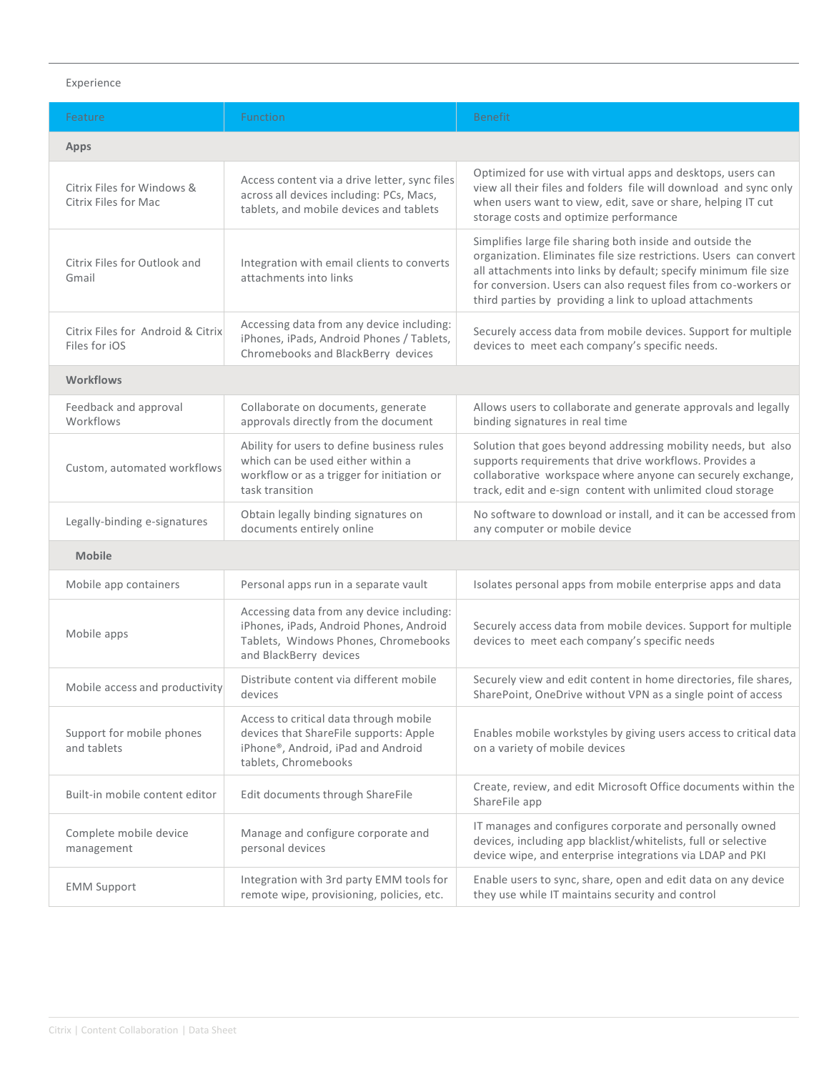#### Experience

| Feature                                            | <b>Function</b>                                                                                                                                        | <b>Benefit</b>                                                                                                                                                                                                                                                                                                                    |  |
|----------------------------------------------------|--------------------------------------------------------------------------------------------------------------------------------------------------------|-----------------------------------------------------------------------------------------------------------------------------------------------------------------------------------------------------------------------------------------------------------------------------------------------------------------------------------|--|
| <b>Apps</b>                                        |                                                                                                                                                        |                                                                                                                                                                                                                                                                                                                                   |  |
| Citrix Files for Windows &<br>Citrix Files for Mac | Access content via a drive letter, sync files<br>across all devices including: PCs, Macs,<br>tablets, and mobile devices and tablets                   | Optimized for use with virtual apps and desktops, users can<br>view all their files and folders file will download and sync only<br>when users want to view, edit, save or share, helping IT cut<br>storage costs and optimize performance                                                                                        |  |
| Citrix Files for Outlook and<br>Gmail              | Integration with email clients to converts<br>attachments into links                                                                                   | Simplifies large file sharing both inside and outside the<br>organization. Eliminates file size restrictions. Users can convert<br>all attachments into links by default; specify minimum file size<br>for conversion. Users can also request files from co-workers or<br>third parties by providing a link to upload attachments |  |
| Citrix Files for Android & Citrix<br>Files for iOS | Accessing data from any device including:<br>iPhones, iPads, Android Phones / Tablets,<br>Chromebooks and BlackBerry devices                           | Securely access data from mobile devices. Support for multiple<br>devices to meet each company's specific needs.                                                                                                                                                                                                                  |  |
| <b>Workflows</b>                                   |                                                                                                                                                        |                                                                                                                                                                                                                                                                                                                                   |  |
| Feedback and approval<br>Workflows                 | Collaborate on documents, generate<br>approvals directly from the document                                                                             | Allows users to collaborate and generate approvals and legally<br>binding signatures in real time                                                                                                                                                                                                                                 |  |
| Custom, automated workflows                        | Ability for users to define business rules<br>which can be used either within a<br>workflow or as a trigger for initiation or<br>task transition       | Solution that goes beyond addressing mobility needs, but also<br>supports requirements that drive workflows. Provides a<br>collaborative workspace where anyone can securely exchange,<br>track, edit and e-sign content with unlimited cloud storage                                                                             |  |
| Legally-binding e-signatures                       | Obtain legally binding signatures on<br>documents entirely online                                                                                      | No software to download or install, and it can be accessed from<br>any computer or mobile device                                                                                                                                                                                                                                  |  |
| <b>Mobile</b>                                      |                                                                                                                                                        |                                                                                                                                                                                                                                                                                                                                   |  |
| Mobile app containers                              | Personal apps run in a separate vault                                                                                                                  | Isolates personal apps from mobile enterprise apps and data                                                                                                                                                                                                                                                                       |  |
| Mobile apps                                        | Accessing data from any device including:<br>iPhones, iPads, Android Phones, Android<br>Tablets, Windows Phones, Chromebooks<br>and BlackBerry devices | Securely access data from mobile devices. Support for multiple<br>devices to meet each company's specific needs                                                                                                                                                                                                                   |  |
| Mobile access and productivity                     | Distribute content via different mobile<br>devices                                                                                                     | Securely view and edit content in home directories, file shares,<br>SharePoint, OneDrive without VPN as a single point of access                                                                                                                                                                                                  |  |
| Support for mobile phones<br>and tablets           | Access to critical data through mobile<br>devices that ShareFile supports: Apple<br>iPhone®, Android, iPad and Android<br>tablets, Chromebooks         | Enables mobile workstyles by giving users access to critical data<br>on a variety of mobile devices                                                                                                                                                                                                                               |  |
| Built-in mobile content editor                     | Edit documents through ShareFile                                                                                                                       | Create, review, and edit Microsoft Office documents within the<br>ShareFile app                                                                                                                                                                                                                                                   |  |
| Complete mobile device<br>management               | Manage and configure corporate and<br>personal devices                                                                                                 | IT manages and configures corporate and personally owned<br>devices, including app blacklist/whitelists, full or selective<br>device wipe, and enterprise integrations via LDAP and PKI                                                                                                                                           |  |
| <b>EMM Support</b>                                 | Integration with 3rd party EMM tools for<br>remote wipe, provisioning, policies, etc.                                                                  | Enable users to sync, share, open and edit data on any device<br>they use while IT maintains security and control                                                                                                                                                                                                                 |  |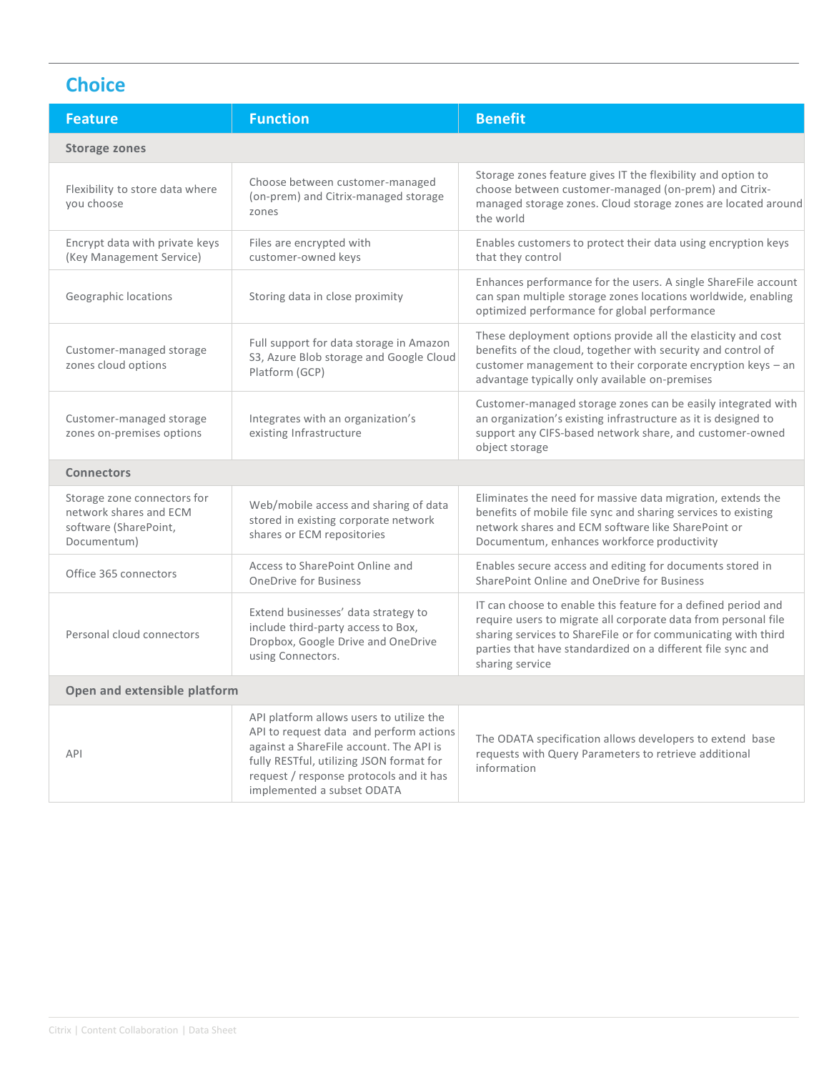### **Choice**

| <b>Feature</b>                                                                                | <b>Function</b>                                                                                                                                                                                                                                     | <b>Benefit</b>                                                                                                                                                                                                                                                                     |  |
|-----------------------------------------------------------------------------------------------|-----------------------------------------------------------------------------------------------------------------------------------------------------------------------------------------------------------------------------------------------------|------------------------------------------------------------------------------------------------------------------------------------------------------------------------------------------------------------------------------------------------------------------------------------|--|
| <b>Storage zones</b>                                                                          |                                                                                                                                                                                                                                                     |                                                                                                                                                                                                                                                                                    |  |
| Flexibility to store data where<br>you choose                                                 | Choose between customer-managed<br>(on-prem) and Citrix-managed storage<br>zones                                                                                                                                                                    | Storage zones feature gives IT the flexibility and option to<br>choose between customer-managed (on-prem) and Citrix-<br>managed storage zones. Cloud storage zones are located around<br>the world                                                                                |  |
| Encrypt data with private keys<br>(Key Management Service)                                    | Files are encrypted with<br>customer-owned keys                                                                                                                                                                                                     | Enables customers to protect their data using encryption keys<br>that they control                                                                                                                                                                                                 |  |
| Geographic locations                                                                          | Storing data in close proximity                                                                                                                                                                                                                     | Enhances performance for the users. A single ShareFile account<br>can span multiple storage zones locations worldwide, enabling<br>optimized performance for global performance                                                                                                    |  |
| Customer-managed storage<br>zones cloud options                                               | Full support for data storage in Amazon<br>S3, Azure Blob storage and Google Cloud<br>Platform (GCP)                                                                                                                                                | These deployment options provide all the elasticity and cost<br>benefits of the cloud, together with security and control of<br>customer management to their corporate encryption keys - an<br>advantage typically only available on-premises                                      |  |
| Customer-managed storage<br>zones on-premises options                                         | Integrates with an organization's<br>existing Infrastructure                                                                                                                                                                                        | Customer-managed storage zones can be easily integrated with<br>an organization's existing infrastructure as it is designed to<br>support any CIFS-based network share, and customer-owned<br>object storage                                                                       |  |
| <b>Connectors</b>                                                                             |                                                                                                                                                                                                                                                     |                                                                                                                                                                                                                                                                                    |  |
| Storage zone connectors for<br>network shares and ECM<br>software (SharePoint,<br>Documentum) | Web/mobile access and sharing of data<br>stored in existing corporate network<br>shares or ECM repositories                                                                                                                                         | Eliminates the need for massive data migration, extends the<br>benefits of mobile file sync and sharing services to existing<br>network shares and ECM software like SharePoint or<br>Documentum, enhances workforce productivity                                                  |  |
| Office 365 connectors                                                                         | Access to SharePoint Online and<br><b>OneDrive for Business</b>                                                                                                                                                                                     | Enables secure access and editing for documents stored in<br>SharePoint Online and OneDrive for Business                                                                                                                                                                           |  |
| Personal cloud connectors                                                                     | Extend businesses' data strategy to<br>include third-party access to Box,<br>Dropbox, Google Drive and OneDrive<br>using Connectors.                                                                                                                | IT can choose to enable this feature for a defined period and<br>require users to migrate all corporate data from personal file<br>sharing services to ShareFile or for communicating with third<br>parties that have standardized on a different file sync and<br>sharing service |  |
| Open and extensible platform                                                                  |                                                                                                                                                                                                                                                     |                                                                                                                                                                                                                                                                                    |  |
| API                                                                                           | API platform allows users to utilize the<br>API to request data and perform actions<br>against a ShareFile account. The API is<br>fully RESTful, utilizing JSON format for<br>request / response protocols and it has<br>implemented a subset ODATA | The ODATA specification allows developers to extend base<br>requests with Query Parameters to retrieve additional<br>information                                                                                                                                                   |  |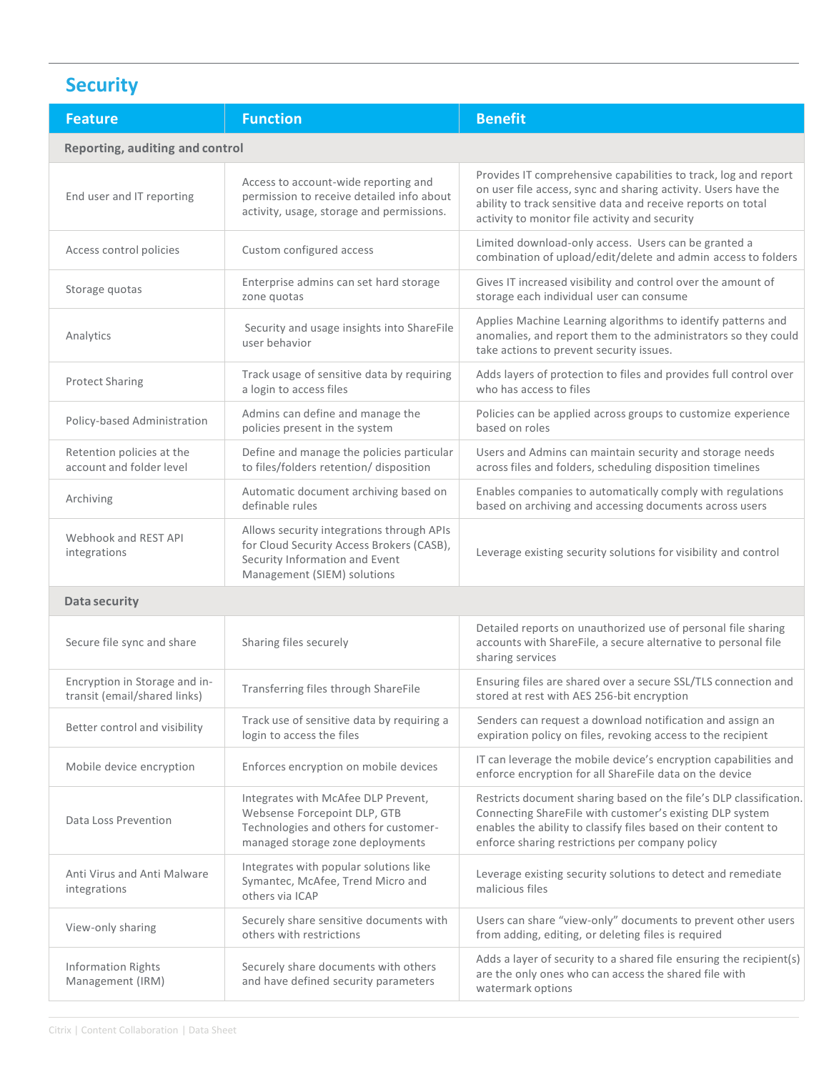## **Security**

| <b>Feature</b>                                                | <b>Function</b>                                                                                                                                         | <b>Benefit</b>                                                                                                                                                                                                                                       |  |  |
|---------------------------------------------------------------|---------------------------------------------------------------------------------------------------------------------------------------------------------|------------------------------------------------------------------------------------------------------------------------------------------------------------------------------------------------------------------------------------------------------|--|--|
| Reporting, auditing and control                               |                                                                                                                                                         |                                                                                                                                                                                                                                                      |  |  |
| End user and IT reporting                                     | Access to account-wide reporting and<br>permission to receive detailed info about<br>activity, usage, storage and permissions.                          | Provides IT comprehensive capabilities to track, log and report<br>on user file access, sync and sharing activity. Users have the<br>ability to track sensitive data and receive reports on total<br>activity to monitor file activity and security  |  |  |
| Access control policies                                       | Custom configured access                                                                                                                                | Limited download-only access. Users can be granted a<br>combination of upload/edit/delete and admin access to folders                                                                                                                                |  |  |
| Storage quotas                                                | Enterprise admins can set hard storage<br>zone quotas                                                                                                   | Gives IT increased visibility and control over the amount of<br>storage each individual user can consume                                                                                                                                             |  |  |
| Analytics                                                     | Security and usage insights into ShareFile<br>user behavior                                                                                             | Applies Machine Learning algorithms to identify patterns and<br>anomalies, and report them to the administrators so they could<br>take actions to prevent security issues.                                                                           |  |  |
| <b>Protect Sharing</b>                                        | Track usage of sensitive data by requiring<br>a login to access files                                                                                   | Adds layers of protection to files and provides full control over<br>who has access to files                                                                                                                                                         |  |  |
| Policy-based Administration                                   | Admins can define and manage the<br>policies present in the system                                                                                      | Policies can be applied across groups to customize experience<br>based on roles                                                                                                                                                                      |  |  |
| Retention policies at the<br>account and folder level         | Define and manage the policies particular<br>to files/folders retention/ disposition                                                                    | Users and Admins can maintain security and storage needs<br>across files and folders, scheduling disposition timelines                                                                                                                               |  |  |
| Archiving                                                     | Automatic document archiving based on<br>definable rules                                                                                                | Enables companies to automatically comply with regulations<br>based on archiving and accessing documents across users                                                                                                                                |  |  |
| Webhook and REST API<br>integrations                          | Allows security integrations through APIs<br>for Cloud Security Access Brokers (CASB),<br>Security Information and Event<br>Management (SIEM) solutions | Leverage existing security solutions for visibility and control                                                                                                                                                                                      |  |  |
| Data security                                                 |                                                                                                                                                         |                                                                                                                                                                                                                                                      |  |  |
| Secure file sync and share                                    | Sharing files securely                                                                                                                                  | Detailed reports on unauthorized use of personal file sharing<br>accounts with ShareFile, a secure alternative to personal file<br>sharing services                                                                                                  |  |  |
| Encryption in Storage and in-<br>transit (email/shared links) | Transferring files through ShareFile                                                                                                                    | Ensuring files are shared over a secure SSL/TLS connection and<br>stored at rest with AES 256-bit encryption                                                                                                                                         |  |  |
| Better control and visibility                                 | Track use of sensitive data by requiring a<br>login to access the files                                                                                 | Senders can request a download notification and assign an<br>expiration policy on files, revoking access to the recipient                                                                                                                            |  |  |
| Mobile device encryption                                      | Enforces encryption on mobile devices                                                                                                                   | IT can leverage the mobile device's encryption capabilities and<br>enforce encryption for all ShareFile data on the device                                                                                                                           |  |  |
| Data Loss Prevention                                          | Integrates with McAfee DLP Prevent,<br>Websense Forcepoint DLP, GTB<br>Technologies and others for customer-<br>managed storage zone deployments        | Restricts document sharing based on the file's DLP classification.<br>Connecting ShareFile with customer's existing DLP system<br>enables the ability to classify files based on their content to<br>enforce sharing restrictions per company policy |  |  |
| Anti Virus and Anti Malware<br>integrations                   | Integrates with popular solutions like<br>Symantec, McAfee, Trend Micro and<br>others via ICAP                                                          | Leverage existing security solutions to detect and remediate<br>malicious files                                                                                                                                                                      |  |  |
| View-only sharing                                             | Securely share sensitive documents with<br>others with restrictions                                                                                     | Users can share "view-only" documents to prevent other users<br>from adding, editing, or deleting files is required                                                                                                                                  |  |  |
| <b>Information Rights</b><br>Management (IRM)                 | Securely share documents with others<br>and have defined security parameters                                                                            | Adds a layer of security to a shared file ensuring the recipient(s)<br>are the only ones who can access the shared file with<br>watermark options                                                                                                    |  |  |